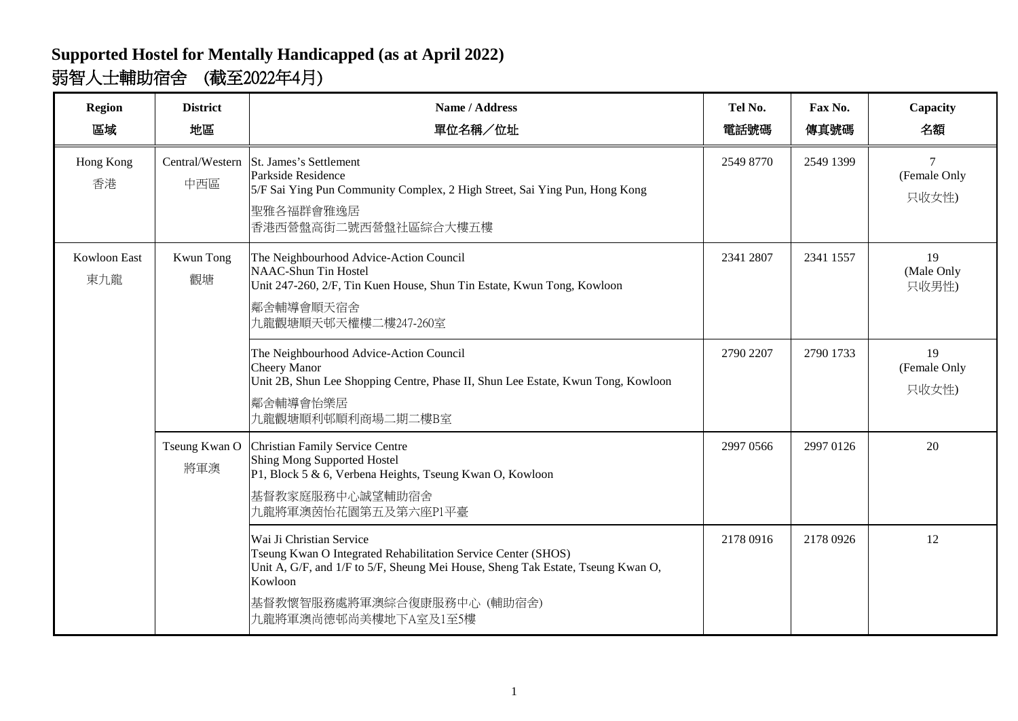## **Supported Hostel for Mentally Handicapped (as at April 2022)** 弱智人士輔助宿舍 (截至2022年4月)

| <b>Region</b><br>區域        | <b>District</b><br>地區  | Name / Address<br>單位名稱/位址                                                                                                                                                                                                                     | Tel No.<br>電話號碼 | Fax No.<br>傳真號碼 | Capacity<br>名額              |
|----------------------------|------------------------|-----------------------------------------------------------------------------------------------------------------------------------------------------------------------------------------------------------------------------------------------|-----------------|-----------------|-----------------------------|
| Hong Kong<br>香港            | Central/Western<br>中西區 | St. James's Settlement<br>Parkside Residence<br>5/F Sai Ying Pun Community Complex, 2 High Street, Sai Ying Pun, Hong Kong<br>聖雅各福群會雅逸居<br>香港西營盤高街二號西營盤社區綜合大樓五樓                                                                               | 2549 8770       | 2549 1399       | (Female Only<br>只收女性)       |
| <b>Kowloon East</b><br>東九龍 | Kwun Tong<br>觀塘        | The Neighbourhood Advice-Action Council<br><b>NAAC-Shun Tin Hostel</b><br>Unit 247-260, 2/F, Tin Kuen House, Shun Tin Estate, Kwun Tong, Kowloon<br>鄰舍輔導會順天宿舍<br>九龍觀塘順天邨天權樓二樓247-260室                                                         | 2341 2807       | 2341 1557       | 19<br>(Male Only<br>只收男性)   |
|                            |                        | The Neighbourhood Advice-Action Council<br><b>Cheery Manor</b><br>Unit 2B, Shun Lee Shopping Centre, Phase II, Shun Lee Estate, Kwun Tong, Kowloon<br>鄰舍輔導會怡樂居<br>九龍觀塘順利邨順利商場二期二樓B室                                                           | 2790 2207       | 2790 1733       | 19<br>(Female Only<br>只收女性) |
|                            | Tseung Kwan O<br>將軍澳   | Christian Family Service Centre<br>Shing Mong Supported Hostel<br>P1, Block 5 & 6, Verbena Heights, Tseung Kwan O, Kowloon<br>基督教家庭服務中心誠望輔助宿舍<br>九龍將軍澳茵怡花園第五及第六座P1平臺                                                                          | 2997 0566       | 2997 0126       | 20                          |
|                            |                        | Wai Ji Christian Service<br>Tseung Kwan O Integrated Rehabilitation Service Center (SHOS)<br>Unit A, G/F, and 1/F to 5/F, Sheung Mei House, Sheng Tak Estate, Tseung Kwan O,<br>Kowloon<br>基督教懷智服務處將軍澳綜合復康服務中心 (輔助宿舍)<br>九龍將軍澳尚德邨尚美樓地下A室及1至5樓 | 2178 0916       | 2178 0926       | 12                          |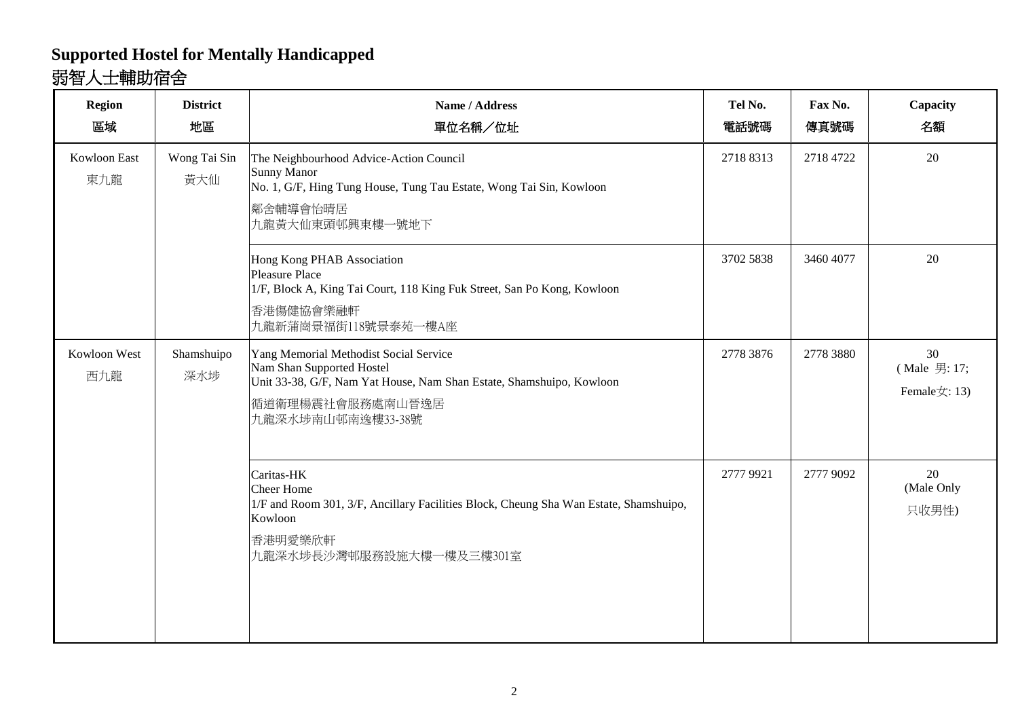## **Supported Hostel for Mentally Handicapped** 弱智人士輔助宿舍

| <b>Region</b><br>區域 | <b>District</b><br>地區 | Name / Address<br>單位名稱/位址                                                                                                                                                            | Tel No.<br>電話號碼 | Fax No.<br>傳真號碼 | Capacity<br>名額                     |
|---------------------|-----------------------|--------------------------------------------------------------------------------------------------------------------------------------------------------------------------------------|-----------------|-----------------|------------------------------------|
| Kowloon East<br>東九龍 | Wong Tai Sin<br>黃大仙   | The Neighbourhood Advice-Action Council<br><b>Sunny Manor</b><br>No. 1, G/F, Hing Tung House, Tung Tau Estate, Wong Tai Sin, Kowloon<br>鄰舍輔導會怡晴居<br>九龍黃大仙東頭邨興東樓一號地下                  | 2718 8313       | 2718 4722       | 20                                 |
|                     |                       | Hong Kong PHAB Association<br>Pleasure Place<br>1/F, Block A, King Tai Court, 118 King Fuk Street, San Po Kong, Kowloon<br>香港傷健協會樂融軒<br>九龍新蒲崗景福街118號景泰苑一樓A座                          | 3702 5838       | 3460 4077       | 20                                 |
| Kowloon West<br>西九龍 | Shamshuipo<br>深水埗     | Yang Memorial Methodist Social Service<br>Nam Shan Supported Hostel<br>Unit 33-38, G/F, Nam Yat House, Nam Shan Estate, Shamshuipo, Kowloon<br>循道衛理楊震社會服務處南山晉逸居<br>九龍深水埗南山邨南逸樓33-38號 | 2778 3876       | 2778 3880       | 30<br>(Male 男: 17;<br>Female女: 13) |
|                     |                       | Caritas-HK<br><b>Cheer Home</b><br>1/F and Room 301, 3/F, Ancillary Facilities Block, Cheung Sha Wan Estate, Shamshuipo,<br>Kowloon<br>香港明愛樂欣軒<br>九龍深水埗長沙灣邨服務設施大樓一樓及三樓301室           | 2777 9921       | 2777 9092       | 20<br>(Male Only<br>只收男性)          |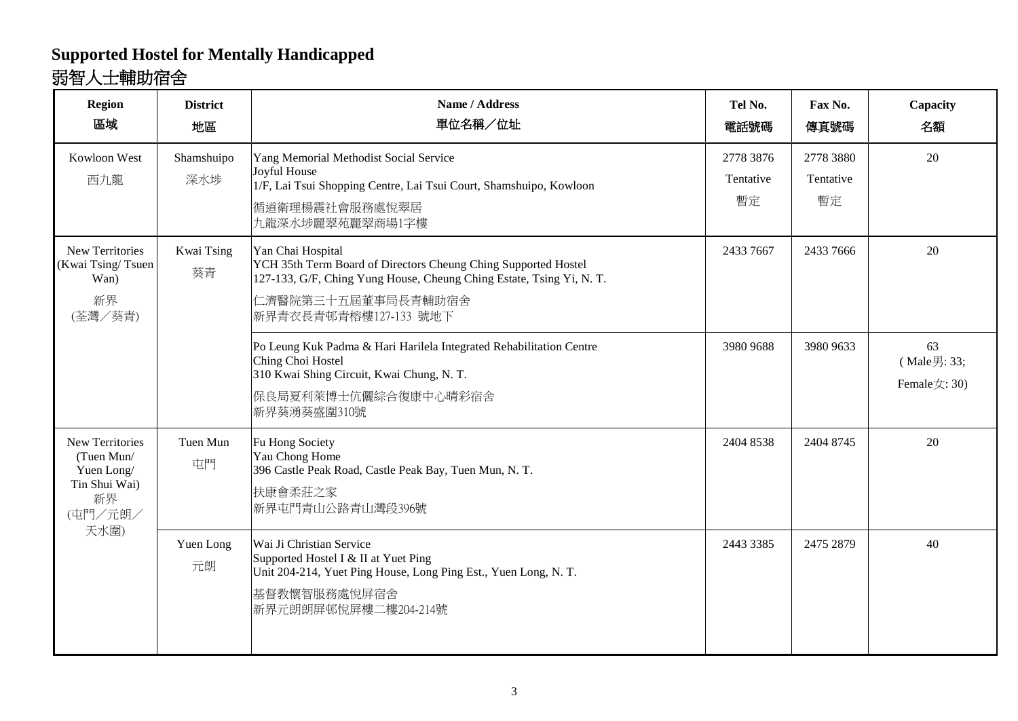### **Supported Hostel for Mentally Handicapped** 弱智人士輔助宿舍

| <b>Region</b><br>區域                                                                          | <b>District</b><br>地區 | Name / Address<br>單位名稱/位址                                                                                                                                                                                 | Tel No.<br>電話號碼              | Fax No.<br>傳真號碼              | Capacity<br>名額                    |
|----------------------------------------------------------------------------------------------|-----------------------|-----------------------------------------------------------------------------------------------------------------------------------------------------------------------------------------------------------|------------------------------|------------------------------|-----------------------------------|
| Kowloon West<br>西九龍                                                                          | Shamshuipo<br>深水埗     | Yang Memorial Methodist Social Service<br>Joyful House<br>1/F, Lai Tsui Shopping Centre, Lai Tsui Court, Shamshuipo, Kowloon<br>循道衛理楊震社會服務處悅翠居<br>九龍深水埗麗翠苑麗翠商場1字樓                                         | 2778 3876<br>Tentative<br>暫定 | 2778 3880<br>Tentative<br>暫定 | 20                                |
| New Territories<br>(Kwai Tsing/Tsuen<br>Wan)<br>新界<br>(荃灣/葵青)                                | Kwai Tsing<br>葵青      | Yan Chai Hospital<br>YCH 35th Term Board of Directors Cheung Ching Supported Hostel<br>127-133, G/F, Ching Yung House, Cheung Ching Estate, Tsing Yi, N.T.<br>仁濟醫院第三十五屆董事局長青輔助宿舍<br>新界青衣長青邨青榕樓127-133 號地下 | 2433 7667                    | 2433 7666                    | 20                                |
|                                                                                              |                       | Po Leung Kuk Padma & Hari Harilela Integrated Rehabilitation Centre<br>Ching Choi Hostel<br>310 Kwai Shing Circuit, Kwai Chung, N. T.<br>保良局夏利萊博士伉儷綜合復康中心晴彩宿舍<br>新界葵湧葵盛圍310號                              | 3980 9688                    | 3980 9633                    | 63<br>(Male男: 33;<br>Female女: 30) |
| <b>New Territories</b><br>(Tuen Mun/<br>Yuen Long/<br>Tin Shui Wai)<br>新界<br>(屯門/元朗/<br>天水圍) | Tuen Mun<br>屯門        | Fu Hong Society<br>Yau Chong Home<br>396 Castle Peak Road, Castle Peak Bay, Tuen Mun, N. T.<br>扶康會柔莊之家<br>新界屯門青山公路青山灣段396號                                                                                | 2404 8538                    | 2404 8745                    | 20                                |
|                                                                                              | Yuen Long<br>元朗       | Wai Ji Christian Service<br>Supported Hostel I & II at Yuet Ping<br>Unit 204-214, Yuet Ping House, Long Ping Est., Yuen Long, N. T.<br>基督教懷智服務處悅屏宿舍<br>新界元朗朗屏邨悅屏樓二樓204-214號                               | 2443 3385                    | 2475 2879                    | 40                                |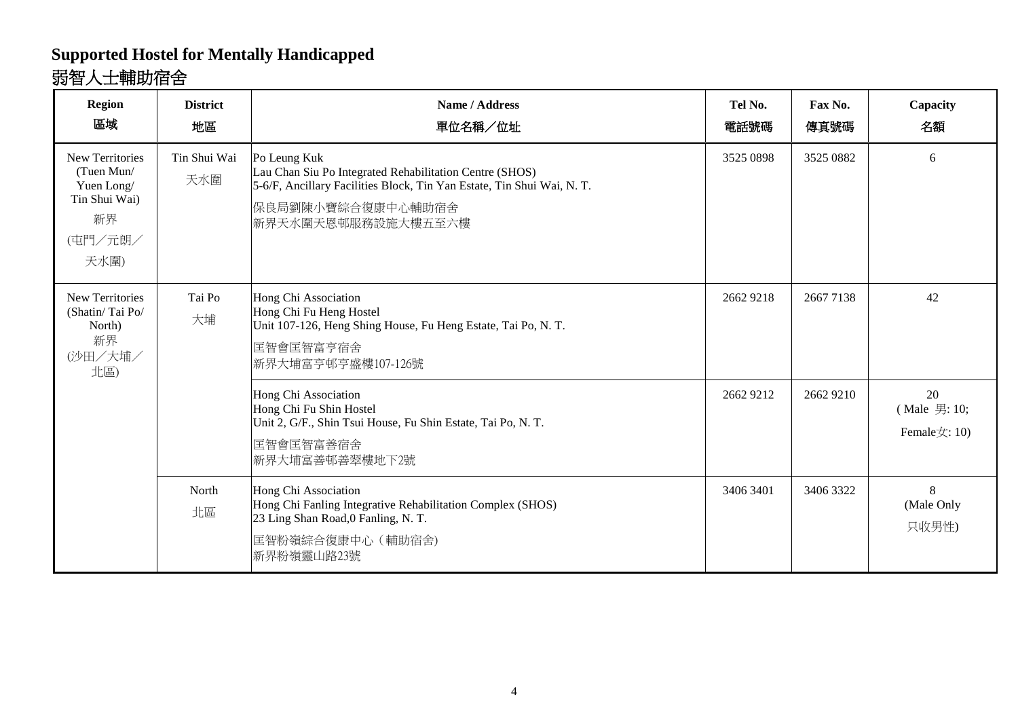## **Supported Hostel for Mentally Handicapped** 弱智人士輔助宿舍

| Region<br>區域                                                                                 | <b>District</b><br>地區 | Name / Address<br>單位名稱/位址                                                                                                                                                                    | Tel No.<br>電話號碼 | Fax No.<br>傳真號碼 | Capacity<br>名額                           |
|----------------------------------------------------------------------------------------------|-----------------------|----------------------------------------------------------------------------------------------------------------------------------------------------------------------------------------------|-----------------|-----------------|------------------------------------------|
| <b>New Territories</b><br>(Tuen Mun/<br>Yuen Long/<br>Tin Shui Wai)<br>新界<br>(屯門/元朗/<br>天水圍) | Tin Shui Wai<br>天水圍   | Po Leung Kuk<br>Lau Chan Siu Po Integrated Rehabilitation Centre (SHOS)<br>5-6/F, Ancillary Facilities Block, Tin Yan Estate, Tin Shui Wai, N. T.<br>保良局劉陳小寶綜合復康中心輔助宿舍<br>新界天水圍天恩邨服務設施大樓五至六樓 | 3525 0898       | 3525 0882       | 6                                        |
| <b>New Territories</b><br>(Shatin/Tai Po/<br>North)<br>新界<br>(沙田/大埔/<br>北區)                  | Tai Po<br>大埔          | Hong Chi Association<br>Hong Chi Fu Heng Hostel<br>Unit 107-126, Heng Shing House, Fu Heng Estate, Tai Po, N. T.<br>匡智會匡智富亨宿舍<br>新界大埔富亨邨亨盛樓107-126號                                          | 2662 9218       | 2667 7138       | 42                                       |
|                                                                                              |                       | Hong Chi Association<br>Hong Chi Fu Shin Hostel<br>Unit 2, G/F., Shin Tsui House, Fu Shin Estate, Tai Po, N.T.<br>匡智會匡智富善宿舍<br>新界大埔富善邨善翠樓地下2號                                                | 2662 9212       | 2662 9210       | 20<br>(Male 男: 10;<br>Female $\pm$ : 10) |
|                                                                                              | North<br>北區           | Hong Chi Association<br>Hong Chi Fanling Integrative Rehabilitation Complex (SHOS)<br>23 Ling Shan Road, 0 Fanling, N. T.<br>匡智粉嶺綜合復康中心 (輔助宿舍)<br>新界粉嶺靈山路23號                                 | 3406 3401       | 3406 3322       | 8<br>(Male Only<br>只收男性)                 |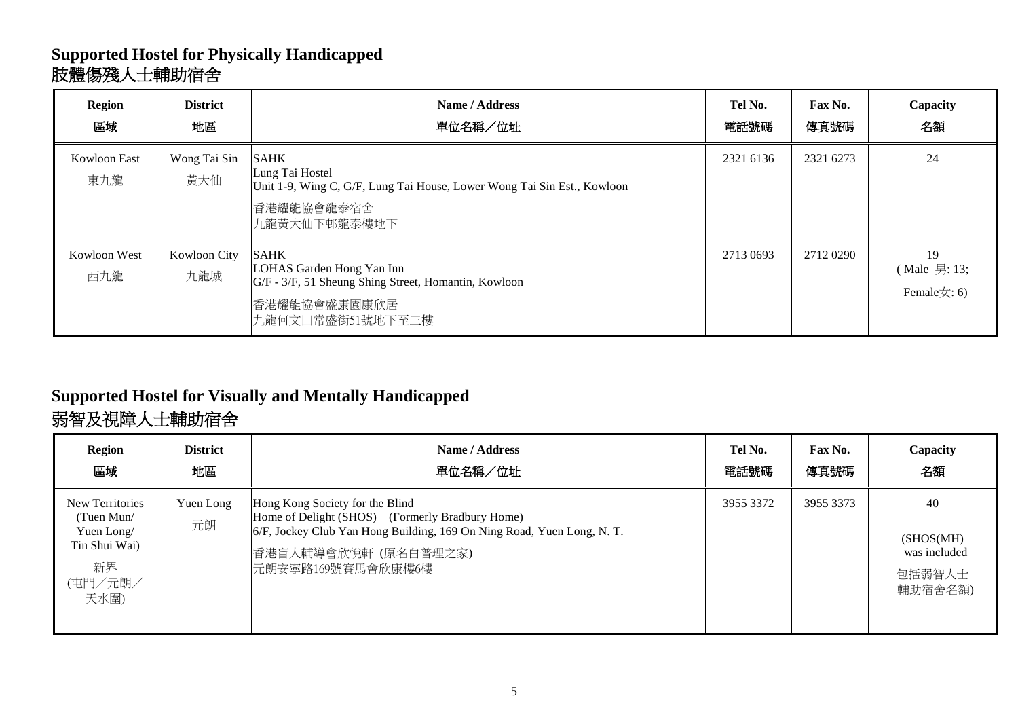### **Supported Hostel for Physically Handicapped** 肢體傷殘人士輔助宿舍

| <b>Region</b><br>區域 | <b>District</b><br>地區      | Name / Address<br>單位名稱/位址                                                                                                               | Tel No.<br>電話號碼 | Fax No.<br>傳真號碼 | Capacity<br>名額                          |
|---------------------|----------------------------|-----------------------------------------------------------------------------------------------------------------------------------------|-----------------|-----------------|-----------------------------------------|
| Kowloon East<br>東九龍 | Wong Tai Sin<br>黃大仙        | <b>SAHK</b><br>Lung Tai Hostel<br>Unit 1-9, Wing C, G/F, Lung Tai House, Lower Wong Tai Sin Est., Kowloon<br>香港耀能協會龍泰宿舍<br>九龍黃大仙下邨龍泰樓地下 | 2321 6136       | 2321 6273       | 24                                      |
| Kowloon West<br>西九龍 | <b>Kowloon City</b><br>九龍城 | <b>SAHK</b><br>LOHAS Garden Hong Yan Inn<br>G/F - 3/F, 51 Sheung Shing Street, Homantin, Kowloon<br>香港耀能協會盛康園康欣居<br>九龍何文田常盛街51號地下至三樓    | 2713 0693       | 2712 0290       | 19<br>(Male 男: 13;<br>Female $\pm$ : 6) |

# **Supported Hostel for Visually and Mentally Handicapped**

# 弱智及視障人士輔助宿舍

| <b>Region</b>                                                                         | <b>District</b> | Name / Address                                                                                                                                                                                           | Tel No.   | Fax No.   | Capacity                                              |
|---------------------------------------------------------------------------------------|-----------------|----------------------------------------------------------------------------------------------------------------------------------------------------------------------------------------------------------|-----------|-----------|-------------------------------------------------------|
| 區域                                                                                    | 地區              | 單位名稱/位址                                                                                                                                                                                                  | 電話號碼      | 傳真號碼      | 名額                                                    |
| New Territories<br>(Tuen Mun/<br>Yuen Long/<br>Tin Shui Wai)<br>新界<br>(屯門/元朗/<br>天水圍) | Yuen Long<br>元朗 | Hong Kong Society for the Blind<br>Home of Delight (SHOS) (Formerly Bradbury Home)<br>6/F, Jockey Club Yan Hong Building, 169 On Ning Road, Yuen Long, N.T.<br>香港盲人輔導會欣悅軒 (原名白普理之家)<br>元朗安寧路169號賽馬會欣康樓6樓 | 3955 3372 | 3955 3373 | 40<br>(SHOS(MH))<br>was included<br>包括弱智人士<br>輔助宿舍名額) |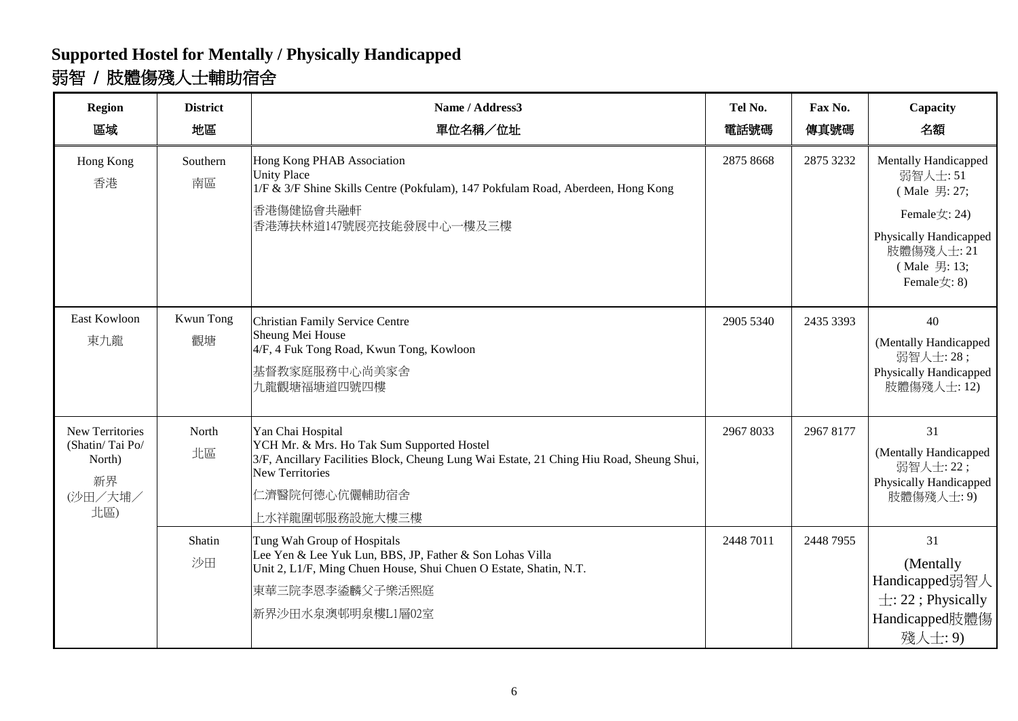## **Supported Hostel for Mentally / Physically Handicapped** 弱智 / 肢體傷殘人士輔助宿舍

| <b>Region</b><br>區域                                                         | <b>District</b><br>地區 | Name / Address3<br>單位名稱/位址                                                                                                                                                                                               | Tel No.<br>電話號碼 | Fax No.<br>傳真號碼 | Capacity<br>名額                                                                                                                                      |
|-----------------------------------------------------------------------------|-----------------------|--------------------------------------------------------------------------------------------------------------------------------------------------------------------------------------------------------------------------|-----------------|-----------------|-----------------------------------------------------------------------------------------------------------------------------------------------------|
| Hong Kong<br>香港                                                             | Southern<br>南區        | Hong Kong PHAB Association<br><b>Unity Place</b><br>1/F & 3/F Shine Skills Centre (Pokfulam), 147 Pokfulam Road, Aberdeen, Hong Kong<br>香港傷健協會共融軒<br>香港薄扶林道147號展亮技能發展中心一樓及三樓                                             | 2875 8668       | 2875 3232       | <b>Mentally Handicapped</b><br>弱智人士:51<br>(Male 男: 27;<br>Female女: 24)<br>Physically Handicapped<br>肢體傷殘人士: 21<br>(Male 男: 13;<br>Female $\pm$ : 8) |
| East Kowloon<br>東九龍                                                         | Kwun Tong<br>觀塘       | Christian Family Service Centre<br>Sheung Mei House<br>4/F, 4 Fuk Tong Road, Kwun Tong, Kowloon<br>基督教家庭服務中心尚美家舍<br>九龍觀塘福塘道四號四樓                                                                                          | 2905 5340       | 2435 3393       | 40<br>(Mentally Handicapped<br>弱智人士: 28;<br>Physically Handicapped<br>肢體傷殘人士: 12)                                                                   |
| <b>New Territories</b><br>(Shatin/Tai Po/<br>North)<br>新界<br>(沙田/大埔/<br>北區) | North<br>北區           | Yan Chai Hospital<br>YCH Mr. & Mrs. Ho Tak Sum Supported Hostel<br>3/F, Ancillary Facilities Block, Cheung Lung Wai Estate, 21 Ching Hiu Road, Sheung Shui,<br><b>New Territories</b><br>仁濟醫院何德心伉儷輔助宿舍<br>上水祥龍圍邨服務設施大樓三樓 | 2967 8033       | 2967 8177       | 31<br>(Mentally Handicapped<br>弱智人士: 22;<br>Physically Handicapped<br>肢體傷殘人士: 9)                                                                    |
|                                                                             | Shatin<br>沙田          | Tung Wah Group of Hospitals<br>Lee Yen & Lee Yuk Lun, BBS, JP, Father & Son Lohas Villa<br>Unit 2, L1/F, Ming Chuen House, Shui Chuen O Estate, Shatin, N.T.<br>東華三院李恩李鋈麟父子樂活熙庭<br>新界沙田水泉澳邨明泉樓L1層02室                     | 2448 7011       | 2448 7955       | 31<br>(Mentally<br>Handicapped弱智人<br>$\pm$ : 22; Physically<br>Handicapped肢體傷<br>殘人士: 9)                                                            |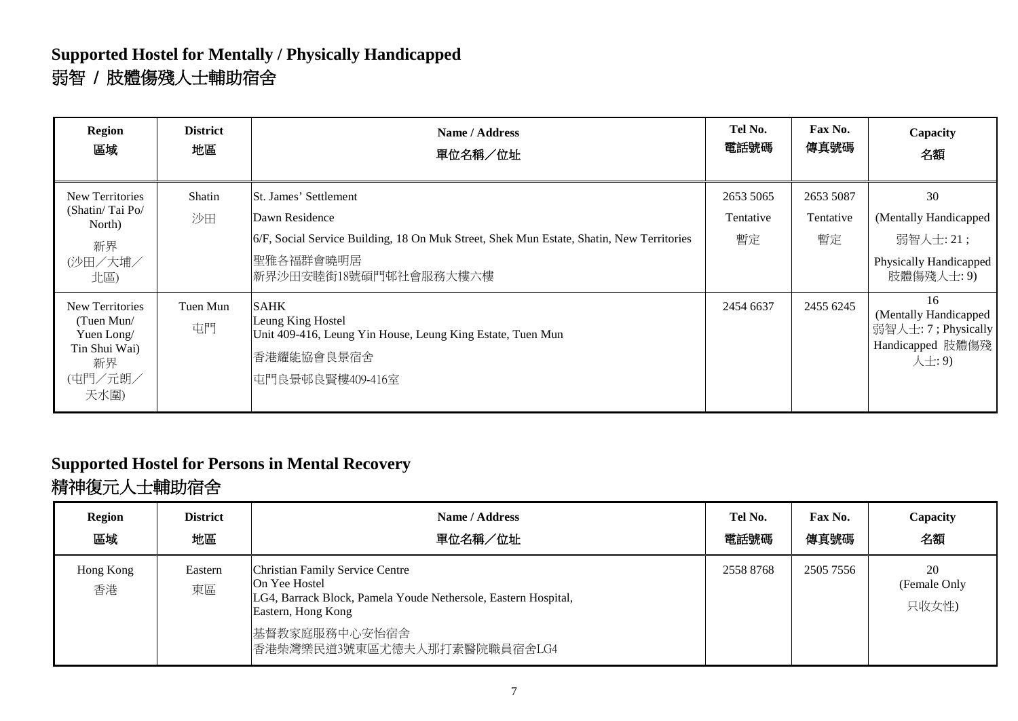### **Supported Hostel for Mentally / Physically Handicapped** 弱智 / 肢體傷殘人士輔助宿舍

| <b>Region</b><br>區域                                                                          | <b>District</b><br>地區 | Name / Address<br>單位名稱/位址                                                                                                                                                 | Tel No.<br>電話號碼              | Fax No.<br>傳真號碼              | Capacity<br>名額                                                                   |
|----------------------------------------------------------------------------------------------|-----------------------|---------------------------------------------------------------------------------------------------------------------------------------------------------------------------|------------------------------|------------------------------|----------------------------------------------------------------------------------|
| <b>New Territories</b><br>(Shatin/Tai Po/<br>North)<br>新界<br>(沙田/大埔/<br>北區)                  | Shatin<br>沙田          | St. James' Settlement<br>Dawn Residence<br>6/F, Social Service Building, 18 On Muk Street, Shek Mun Estate, Shatin, New Territories<br>聖雅各福群會曉明居<br>新界沙田安睦街18號碩門邨社會服務大樓六樓 | 2653 5065<br>Tentative<br>暫定 | 2653 5087<br>Tentative<br>暫定 | 30<br>(Mentally Handicapped<br>弱智人士: 21;<br>Physically Handicapped<br>肢體傷殘人士: 9) |
| <b>New Territories</b><br>(Tuen Mun/<br>Yuen Long/<br>Tin Shui Wai)<br>新界<br>(屯門/元朗/<br>天水圍) | Tuen Mun<br>屯門        | <b>SAHK</b><br>Leung King Hostel<br>Unit 409-416, Leung Yin House, Leung King Estate, Tuen Mun<br>香港耀能協會良景宿舍<br>屯門良景邨良賢樓409-416室                                          | 2454 6637                    | 2455 6245                    | 16<br>(Mentally Handicapped<br>弱智人士: 7; Physically<br>Handicapped 肢體傷殘<br>人士: 9) |

# **Supported Hostel for Persons in Mental Recovery**

## 精神復元人士輔助宿舍

| <b>Region</b><br>區域 | <b>District</b><br>地區 | Name / Address<br>單位名稱/位址                                                                                                                | Tel No.<br>電話號碼 | Fax No.<br>傳真號碼 | Capacity<br>名額              |
|---------------------|-----------------------|------------------------------------------------------------------------------------------------------------------------------------------|-----------------|-----------------|-----------------------------|
| Hong Kong<br>香港     | Eastern<br>東區         | Christian Family Service Centre<br>On Yee Hostel<br>LG4, Barrack Block, Pamela Youde Nethersole, Eastern Hospital,<br>Eastern, Hong Kong | 2558 8768       | 2505 7556       | 20<br>(Female Only<br>只收女性) |
|                     |                       | 基督教家庭服務中心安怡宿舍<br>香港柴灣樂民道3號東區尤德夫人那打素醫院職員宿舍LG4                                                                                             |                 |                 |                             |